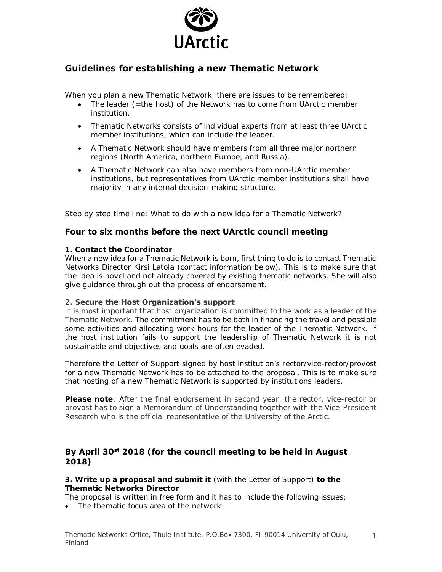

# **Guidelines for establishing a new Thematic Network**

When you plan a new Thematic Network, there are issues to be remembered:

- · The leader (=the host) of the Network has to come from UArctic member institution.
- · Thematic Networks consists of individual experts from at least three UArctic member institutions, which can include the leader.
- · A Thematic Network should have members from all three major northern regions (North America, northern Europe, and Russia).
- · A Thematic Network can also have members from non-UArctic member institutions, but representatives from UArctic member institutions shall have majority in any internal decision-making structure.

### Step by step time line: What to do with a new idea for a Thematic Network?

### **Four to six months before the next UArctic council meeting**

**1. Contact the Coordinator**

When a new idea for a Thematic Network is born, first thing to do is to contact Thematic Networks Director Kirsi Latola (contact information below). This is to make sure that the idea is novel and not already covered by existing thematic networks. She will also give guidance through out the process of endorsement.

### **2. Secure the Host Organization's support**

It is most important that host organization is committed to the work as a leader of the Thematic Network. The commitment has to be both in financing the travel and possible some activities and allocating work hours for the leader of the Thematic Network. If the host institution fails to support the leadership of Thematic Network it is not sustainable and objectives and goals are often evaded.

Therefore the *Letter of Support* signed by host institution's rector/vice-rector/provost for a new Thematic Network has to be attached to the proposal. This is to make sure that hosting of a new Thematic Network is supported by institutions leaders.

**Please note**: After the final endorsement in second year, the rector, vice-rector or provost has to sign a *Memorandum of Understanding* together with the Vice-President Research who is the official representative of the University of the Arctic.

# **By April 30st 2018 (for the council meeting to be held in August 2018)**

**3. Write up a proposal and submit it** (with the Letter of Support) **to the Thematic Networks Director**

The proposal is written in free form and it has to include the following issues:

· The thematic focus area of the network

1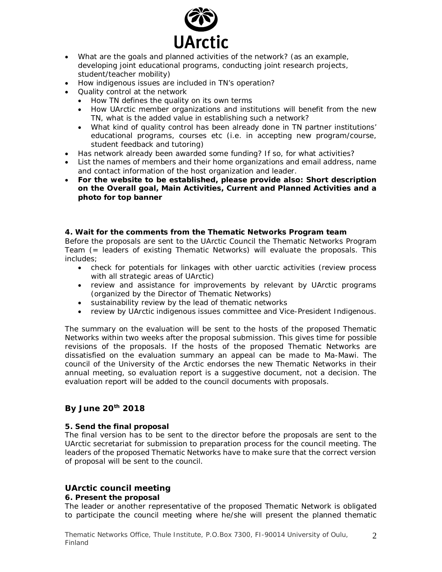

- · What are the goals and planned activities of the network? (as an example, developing joint educational programs, conducting joint research projects, student/teacher mobility)
- · How indigenous issues are included in TN's operation?
- · Quality control at the network
	- · How TN defines the quality on its own terms
	- · How UArctic member organizations and institutions will benefit from the new TN, what is the added value in establishing such a network?
	- · What kind of quality control has been already done in TN partner institutions' educational programs, courses etc (i.e. in accepting new program/course, student feedback and tutoring)
- · Has network already been awarded some funding? If so, for what activities?
- · List the names of members and their home organizations and email address, name and contact information of the host organization and leader.
- · **For the website to be established, please provide also: Short description on the Overall goal, Main Activities, Current and Planned Activities and a photo for top banner**

**4. Wait for the comments from the Thematic Networks Program team** Before the proposals are sent to the UArctic Council the Thematic Networks Program Team (= leaders of existing Thematic Networks) will evaluate the proposals. This includes;

- · check for potentials for linkages with other uarctic activities (review process with all strategic areas of UArctic)
- · review and assistance for improvements by relevant by UArctic programs (organized by the Director of Thematic Networks)
- · sustainability review by the lead of thematic networks
- · review by UArctic indigenous issues committee and Vice-President Indigenous.

The summary on the evaluation will be sent to the hosts of the proposed Thematic Networks within two weeks after the proposal submission. This gives time for possible revisions of the proposals. If the hosts of the proposed Thematic Networks are dissatisfied on the evaluation summary an appeal can be made to Ma-Mawi. The council of the University of the Arctic endorses the new Thematic Networks in their annual meeting, so evaluation report is a suggestive document, not a decision. The evaluation report will be added to the council documents with proposals.

### **By June 20th 2018**

### **5. Send the final proposal**

The final version has to be sent to the director before the proposals are sent to the UArctic secretariat for submission to preparation process for the council meeting. The leaders of the proposed Thematic Networks have to make sure that the correct version of proposal will be sent to the council.

# **UArctic council meeting**

### **6. Present the proposal**

The leader or another representative of the proposed Thematic Network is obligated to participate the council meeting where he/she will present the planned thematic

2